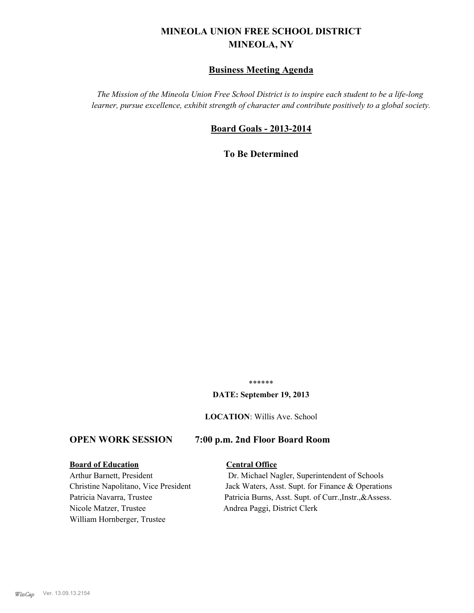# **MINEOLA UNION FREE SCHOOL DISTRICT MINEOLA, NY**

# **Business Meeting Agenda**

*The Mission of the Mineola Union Free School District is to inspire each student to be a life-long learner, pursue excellence, exhibit strength of character and contribute positively to a global society.*

# **Board Goals - 2013-2014**

**To Be Determined**

\*\*\*\*\*\*

#### **DATE: September 19, 2013**

**LOCATION**: Willis Ave. School

# **OPEN WORK SESSION 7:00 p.m. 2nd Floor Board Room**

#### **Board of Education Central Office**

Nicole Matzer, Trustee Andrea Paggi, District Clerk William Hornberger, Trustee

Arthur Barnett, President Dr. Michael Nagler, Superintendent of Schools Christine Napolitano, Vice President Jack Waters, Asst. Supt. for Finance & Operations Patricia Navarra, Trustee Patricia Burns, Asst. Supt. of Curr., Instr., &Assess.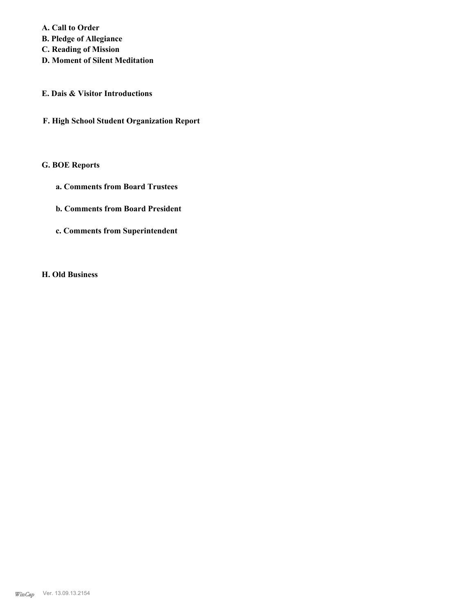**A. Call to Order B. Pledge of Allegiance**

- **C. Reading of Mission**
- **D. Moment of Silent Meditation**
- **E. Dais & Visitor Introductions**
- **F. High School Student Organization Report**

### **G. BOE Reports**

- **a. Comments from Board Trustees**
- **b. Comments from Board President**
- **c. Comments from Superintendent**

#### **H. Old Business**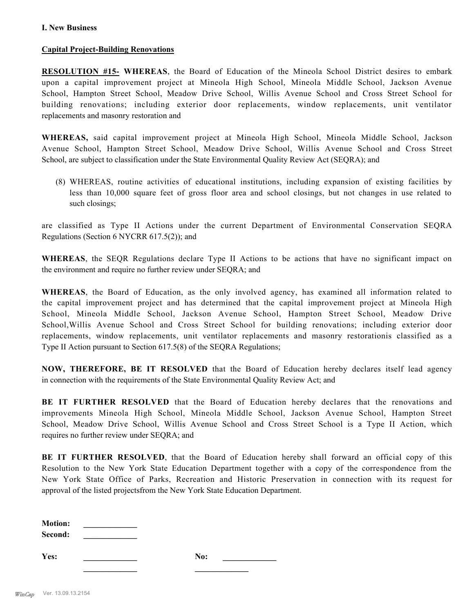## **Capital Project-Building Renovations**

**RESOLUTION #15- WHEREAS**, the Board of Education of the Mineola School District desires to embark upon a capital improvement project at Mineola High School, Mineola Middle School, Jackson Avenue School, Hampton Street School, Meadow Drive School, Willis Avenue School and Cross Street School for building renovations; including exterior door replacements, window replacements, unit ventilator replacements and masonry restoration and

**WHEREAS,** said capital improvement project at Mineola High School, Mineola Middle School, Jackson Avenue School, Hampton Street School, Meadow Drive School, Willis Avenue School and Cross Street School, are subject to classification under the State Environmental Quality Review Act (SEQRA); and

(8) WHEREAS, routine activities of educational institutions, including expansion of existing facilities by less than 10,000 square feet of gross floor area and school closings, but not changes in use related to such closings;

are classified as Type II Actions under the current Department of Environmental Conservation SEQRA Regulations (Section 6 NYCRR 617.5(2)); and

**WHEREAS**, the SEQR Regulations declare Type II Actions to be actions that have no significant impact on the environment and require no further review under SEQRA; and

**WHEREAS**, the Board of Education, as the only involved agency, has examined all information related to the capital improvement project and has determined that the capital improvement project at Mineola High School, Mineola Middle School, Jackson Avenue School, Hampton Street School, Meadow Drive School,Willis Avenue School and Cross Street School for building renovations; including exterior door replacements, window replacements, unit ventilator replacements and masonry restorationis classified as a Type II Action pursuant to Section 617.5(8) of the SEQRA Regulations;

**NOW, THEREFORE, BE IT RESOLVED** that the Board of Education hereby declares itself lead agency in connection with the requirements of the State Environmental Quality Review Act; and

**BE IT FURTHER RESOLVED** that the Board of Education hereby declares that the renovations and improvements Mineola High School, Mineola Middle School, Jackson Avenue School, Hampton Street School, Meadow Drive School, Willis Avenue School and Cross Street School is a Type II Action, which requires no further review under SEQRA; and

**BE IT FURTHER RESOLVED**, that the Board of Education hereby shall forward an official copy of this Resolution to the New York State Education Department together with a copy of the correspondence from the New York State Office of Parks, Recreation and Historic Preservation in connection with its request for approval of the listed projectsfrom the New York State Education Department.

 $$ **Second: \_\_\_\_\_\_\_\_\_\_\_\_\_**

**Yes: \_\_\_\_\_\_\_\_\_\_\_\_\_ No: \_\_\_\_\_\_\_\_\_\_\_\_\_**

**\_\_\_\_\_\_\_\_\_\_\_\_\_ \_\_\_\_\_\_\_\_\_\_\_\_\_**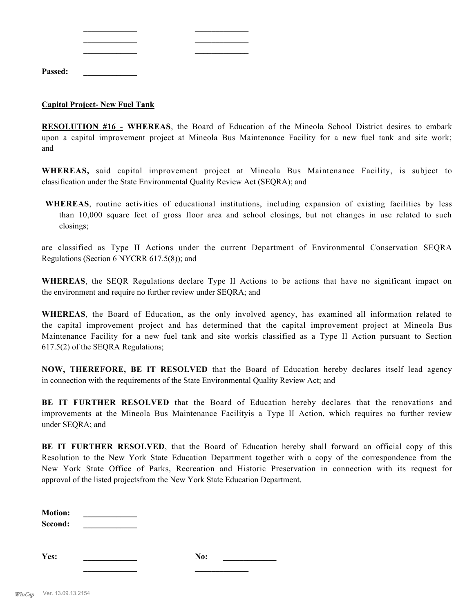| Passed: |  |  |
|---------|--|--|

## **Capital Project- New Fuel Tank**

**RESOLUTION #16 - WHEREAS**, the Board of Education of the Mineola School District desires to embark upon a capital improvement project at Mineola Bus Maintenance Facility for a new fuel tank and site work; and

**WHEREAS,** said capital improvement project at Mineola Bus Maintenance Facility, is subject to classification under the State Environmental Quality Review Act (SEQRA); and

**WHEREAS**, routine activities of educational institutions, including expansion of existing facilities by less than 10,000 square feet of gross floor area and school closings, but not changes in use related to such closings;

are classified as Type II Actions under the current Department of Environmental Conservation SEQRA Regulations (Section 6 NYCRR 617.5(8)); and

**WHEREAS**, the SEQR Regulations declare Type II Actions to be actions that have no significant impact on the environment and require no further review under SEQRA; and

**WHEREAS**, the Board of Education, as the only involved agency, has examined all information related to the capital improvement project and has determined that the capital improvement project at Mineola Bus Maintenance Facility for a new fuel tank and site workis classified as a Type II Action pursuant to Section 617.5(2) of the SEQRA Regulations;

**NOW, THEREFORE, BE IT RESOLVED** that the Board of Education hereby declares itself lead agency in connection with the requirements of the State Environmental Quality Review Act; and

**BE IT FURTHER RESOLVED** that the Board of Education hereby declares that the renovations and improvements at the Mineola Bus Maintenance Facilityis a Type II Action, which requires no further review under SEQRA; and

**BE IT FURTHER RESOLVED**, that the Board of Education hereby shall forward an official copy of this Resolution to the New York State Education Department together with a copy of the correspondence from the New York State Office of Parks, Recreation and Historic Preservation in connection with its request for approval of the listed projectsfrom the New York State Education Department.

| <b>Motion:</b> |  |
|----------------|--|
| Second:        |  |

**Yes: \_\_\_\_\_\_\_\_\_\_\_\_\_ No: \_\_\_\_\_\_\_\_\_\_\_\_\_**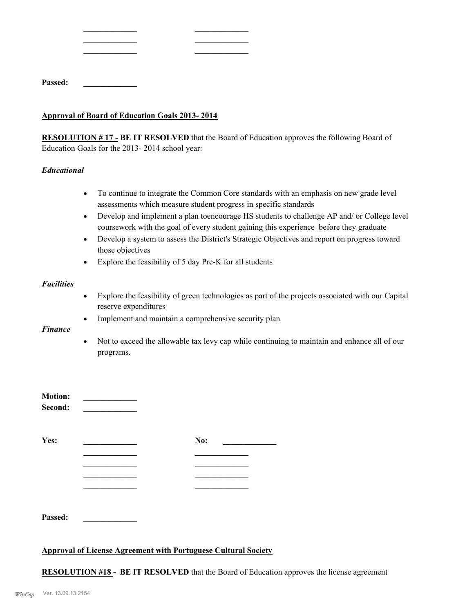| Passed: |  |  |  |  |  |
|---------|--|--|--|--|--|
|         |  |  |  |  |  |

#### **Approval of Board of Education Goals 2013- 2014**

**\_\_\_\_\_\_\_\_\_\_\_\_\_ \_\_\_\_\_\_\_\_\_\_\_\_\_ \_\_\_\_\_\_\_\_\_\_\_\_\_ \_\_\_\_\_\_\_\_\_\_\_\_\_ \_\_\_\_\_\_\_\_\_\_\_\_\_ \_\_\_\_\_\_\_\_\_\_\_\_\_**

**RESOLUTION # 17 - BE IT RESOLVED** that the Board of Education approves the following Board of Education Goals for the 2013- 2014 school year:

### *Educational*

- · To continue to integrate the Common Core standards with an emphasis on new grade level assessments which measure student progress in specific standards
- · Develop and implement a plan toencourage HS students to challenge AP and/ or College level coursework with the goal of every student gaining this experience before they graduate
- · Develop a system to assess the District's Strategic Objectives and report on progress toward those objectives
- · Explore the feasibility of 5 day Pre-K for all students

#### *Facilities*

- · Explore the feasibility of green technologies as part of the projects associated with our Capital reserve expenditures
- · Implement and maintain a comprehensive security plan

#### *Finance*

· Not to exceed the allowable tax levy cap while continuing to maintain and enhance all of our programs.

| <b>Motion:</b><br>Second: |     |
|---------------------------|-----|
| Yes:                      | No: |
|                           |     |
|                           |     |
| Passed:                   |     |

# **Approval of License Agreement with Portuguese Cultural Society**

**RESOLUTION #18 - BE IT RESOLVED** that the Board of Education approves the license agreement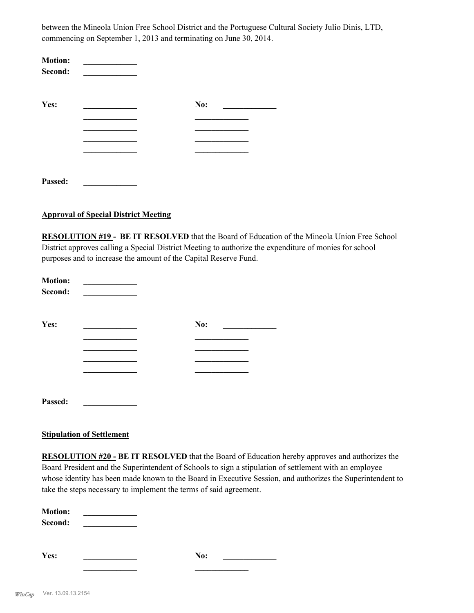between the Mineola Union Free School District and the Portuguese Cultural Society Julio Dinis, LTD, commencing on September 1, 2013 and terminating on June 30, 2014.

| <b>Motion:</b><br>Second: |     |  |
|---------------------------|-----|--|
| Yes:                      | No: |  |
|                           |     |  |
|                           |     |  |
|                           |     |  |
|                           |     |  |
| Passed:                   |     |  |

#### **Approval of Special District Meeting**

**RESOLUTION #19 - BE IT RESOLVED** that the Board of Education of the Mineola Union Free School District approves calling a Special District Meeting to authorize the expenditure of monies for school purposes and to increase the amount of the Capital Reserve Fund.

| <b>Motion:</b><br>Second: |     |  |
|---------------------------|-----|--|
| Yes:                      | No: |  |
|                           |     |  |
|                           |     |  |
|                           |     |  |
|                           |     |  |
| Passed:                   |     |  |

# **Stipulation of Settlement**

**RESOLUTION #20 - BE IT RESOLVED** that the Board of Education hereby approves and authorizes the Board President and the Superintendent of Schools to sign a stipulation of settlement with an employee whose identity has been made known to the Board in Executive Session, and authorizes the Superintendent to take the steps necessary to implement the terms of said agreement.

| <b>Motion:</b> |     |  |
|----------------|-----|--|
| Second:        |     |  |
|                |     |  |
|                |     |  |
| Yes:           | No: |  |
|                |     |  |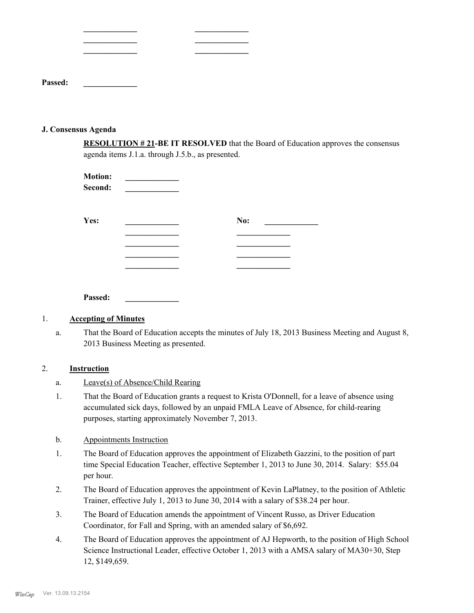| Passed: |  |  |
|---------|--|--|

**\_\_\_\_\_\_\_\_\_\_\_\_\_ \_\_\_\_\_\_\_\_\_\_\_\_\_**

#### **J. Consensus Agenda**

**RESOLUTION # 21-BE IT RESOLVED** that the Board of Education approves the consensus agenda items J.1.a. through J.5.b., as presented.

| <b>Motion:</b><br>Second: |     |  |
|---------------------------|-----|--|
| Yes:                      | No: |  |
|                           |     |  |
|                           |     |  |
|                           |     |  |
|                           |     |  |
|                           |     |  |
| Passed:                   |     |  |

# 1. **Accepting of Minutes**

That the Board of Education accepts the minutes of July 18, 2013 Business Meeting and August 8, 2013 Business Meeting as presented. a.

# 2. **Instruction**

- a. Leave(s) of Absence/Child Rearing
- That the Board of Education grants a request to Krista O'Donnell, for a leave of absence using accumulated sick days, followed by an unpaid FMLA Leave of Absence, for child-rearing purposes, starting approximately November 7, 2013. 1.

#### b. Appointments Instruction

- The Board of Education approves the appointment of Elizabeth Gazzini, to the position of part time Special Education Teacher, effective September 1, 2013 to June 30, 2014. Salary: \$55.04 per hour. 1.
- The Board of Education approves the appointment of Kevin LaPlatney, to the position of Athletic Trainer, effective July 1, 2013 to June 30, 2014 with a salary of \$38.24 per hour. 2.
- The Board of Education amends the appointment of Vincent Russo, as Driver Education Coordinator, for Fall and Spring, with an amended salary of \$6,692. 3.
- The Board of Education approves the appointment of AJ Hepworth, to the position of High School Science Instructional Leader, effective October 1, 2013 with a AMSA salary of MA30+30, Step 12, \$149,659. 4.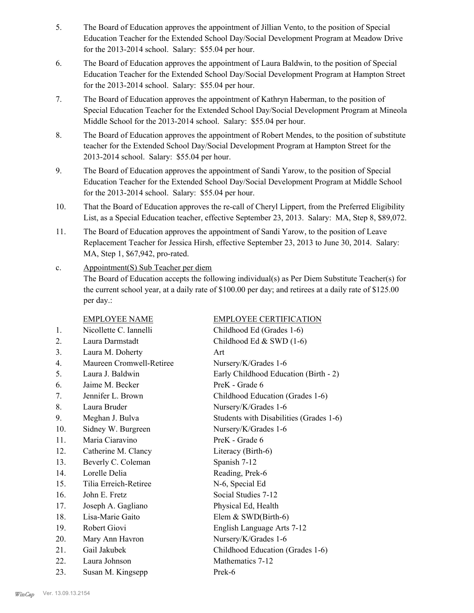- The Board of Education approves the appointment of Jillian Vento, to the position of Special Education Teacher for the Extended School Day/Social Development Program at Meadow Drive for the 2013-2014 school. Salary: \$55.04 per hour. 5.
- The Board of Education approves the appointment of Laura Baldwin, to the position of Special Education Teacher for the Extended School Day/Social Development Program at Hampton Street for the 2013-2014 school. Salary: \$55.04 per hour. 6.
- The Board of Education approves the appointment of Kathryn Haberman, to the position of Special Education Teacher for the Extended School Day/Social Development Program at Mineola Middle School for the 2013-2014 school. Salary: \$55.04 per hour. 7.
- The Board of Education approves the appointment of Robert Mendes, to the position of substitute teacher for the Extended School Day/Social Development Program at Hampton Street for the 2013-2014 school. Salary: \$55.04 per hour. 8.
- The Board of Education approves the appointment of Sandi Yarow, to the position of Special Education Teacher for the Extended School Day/Social Development Program at Middle School for the 2013-2014 school. Salary: \$55.04 per hour. 9.
- That the Board of Education approves the re-call of Cheryl Lippert, from the Preferred Eligibility List, as a Special Education teacher, effective September 23, 2013. Salary: MA, Step 8, \$89,072. 10.
- The Board of Education approves the appointment of Sandi Yarow, to the position of Leave Replacement Teacher for Jessica Hirsh, effective September 23, 2013 to June 30, 2014. Salary: MA, Step 1, \$67,942, pro-rated. 11.
- Appointment(S) Sub Teacher per diem The Board of Education accepts the following individual(s) as Per Diem Substitute Teacher(s) for the current school year, at a daily rate of \$100.00 per day; and retirees at a daily rate of \$125.00 per day.: c.

|                  | <b>EMPLOYEE NAME</b>     | <b>EMPLOYEE CERTIFICATION</b>           |
|------------------|--------------------------|-----------------------------------------|
| 1.               | Nicollette C. Iannelli   | Childhood Ed (Grades 1-6)               |
| 2.               | Laura Darmstadt          | Childhood Ed & SWD (1-6)                |
| 3 <sub>1</sub>   | Laura M. Doherty         | Art                                     |
| $\overline{4}$ . | Maureen Cromwell-Retiree | Nursery/K/Grades 1-6                    |
| 5 <sub>1</sub>   | Laura J. Baldwin         | Early Childhood Education (Birth - 2)   |
| 6.               | Jaime M. Becker          | PreK - Grade 6                          |
| 7.               | Jennifer L. Brown        | Childhood Education (Grades 1-6)        |
| 8.               | Laura Bruder             | Nursery/K/Grades 1-6                    |
| 9.               | Meghan J. Bulva          | Students with Disabilities (Grades 1-6) |
| 10.              | Sidney W. Burgreen       | Nursery/K/Grades 1-6                    |
| 11.              | Maria Ciaravino          | PreK - Grade 6                          |
| 12.              | Catherine M. Clancy      | Literacy (Birth-6)                      |
| 13.              | Beverly C. Coleman       | Spanish 7-12                            |
| 14.              | Lorelle Delia            | Reading, Prek-6                         |
| 15.              | Tilia Erreich-Retiree    | N-6, Special Ed                         |
| 16.              | John E. Fretz            | Social Studies 7-12                     |
| 17.              | Joseph A. Gagliano       | Physical Ed, Health                     |
| 18.              | Lisa-Marie Gaito         | Elem $&$ SWD(Birth-6)                   |
| 19.              | Robert Giovi             | English Language Arts 7-12              |
| 20.              | Mary Ann Havron          | Nursery/K/Grades 1-6                    |
| 21.              | Gail Jakubek             | Childhood Education (Grades 1-6)        |
| 22.              | Laura Johnson            | Mathematics 7-12                        |
| 23.              | Susan M. Kingsepp        | Prek-6                                  |
|                  |                          |                                         |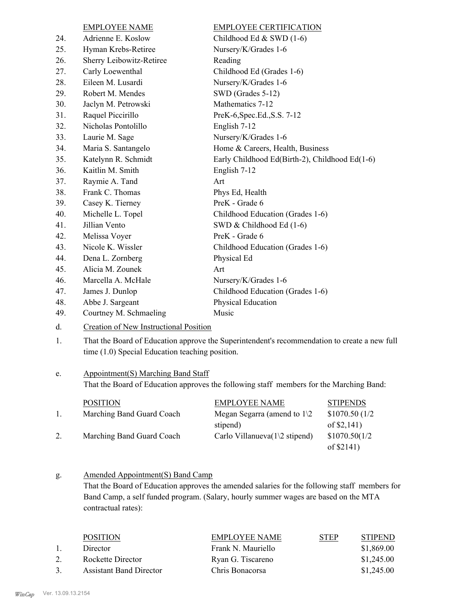|     | <b>EMPLOYEE NAME</b>     | <b>EMPLOYEE CERTIFICATION</b>                  |
|-----|--------------------------|------------------------------------------------|
| 24. | Adrienne E. Koslow       | Childhood Ed & SWD (1-6)                       |
| 25. | Hyman Krebs-Retiree      | Nursery/K/Grades 1-6                           |
| 26. | Sherry Leibowitz-Retiree | Reading                                        |
| 27. | Carly Loewenthal         | Childhood Ed (Grades 1-6)                      |
| 28. | Eileen M. Lusardi        | Nursery/K/Grades 1-6                           |
| 29. | Robert M. Mendes         | SWD (Grades 5-12)                              |
| 30. | Jaclyn M. Petrowski      | Mathematics 7-12                               |
| 31. | Raquel Piccirillo        | PreK-6, Spec. Ed., S.S. 7-12                   |
| 32. | Nicholas Pontolillo      | English 7-12                                   |
| 33. | Laurie M. Sage           | Nursery/K/Grades 1-6                           |
| 34. | Maria S. Santangelo      | Home & Careers, Health, Business               |
| 35. | Katelynn R. Schmidt      | Early Childhood Ed(Birth-2), Childhood Ed(1-6) |
| 36. | Kaitlin M. Smith         | English 7-12                                   |
| 37. | Raymie A. Tand           | Art                                            |
| 38. | Frank C. Thomas          | Phys Ed, Health                                |
| 39. | Casey K. Tierney         | PreK - Grade 6                                 |
| 40. | Michelle L. Topel        | Childhood Education (Grades 1-6)               |
| 41. | Jillian Vento            | SWD & Childhood Ed (1-6)                       |
| 42. | Melissa Voyer            | PreK - Grade 6                                 |
| 43. | Nicole K. Wissler        | Childhood Education (Grades 1-6)               |
| 44. | Dena L. Zornberg         | Physical Ed                                    |
| 45. | Alicia M. Zounek         | Art                                            |
| 46. | Marcella A. McHale       | Nursery/K/Grades 1-6                           |
| 47. | James J. Dunlop          | Childhood Education (Grades 1-6)               |
| 48. | Abbe J. Sargeant         | Physical Education                             |
| 49. | Courtney M. Schmaeling   | Music                                          |
|     |                          |                                                |

## d. Creation of New Instructional Position

That the Board of Education approve the Superintendent's recommendation to create a new full time (1.0) Special Education teaching position. 1.

#### Appointment(S) Marching Band Staff e.

That the Board of Education approves the following staff members for the Marching Band:

|    | <b>POSITION</b>           | <b>EMPLOYEE NAME</b>                   | <b>STIPENDS</b> |
|----|---------------------------|----------------------------------------|-----------------|
|    | Marching Band Guard Coach | Megan Segarra (amend to $1\sqrt{2}$    | \$1070.50(1/2)  |
|    |                           | stipend)                               | of $$2,141$ )   |
| 2. | Marching Band Guard Coach | Carlo Villanueva $(1\angle 2$ stipend) | \$1070.50(1/2)  |
|    |                           |                                        | of $$2141)$     |

#### Amended Appointment(S) Band Camp g.

That the Board of Education approves the amended salaries for the following staff members for Band Camp, a self funded program. (Salary, hourly summer wages are based on the MTA contractual rates):

|              | <b>POSITION</b>                | EMPLOYEE NAME      | <b>STEP</b> | <b>STIPEND</b> |
|--------------|--------------------------------|--------------------|-------------|----------------|
|              | Director                       | Frank N. Mauriello |             | \$1,869.00     |
|              | Rockette Director              | Ryan G. Tiscareno  |             | \$1,245.00     |
| $\mathbf{R}$ | <b>Assistant Band Director</b> | Chris Bonacorsa    |             | \$1,245.00     |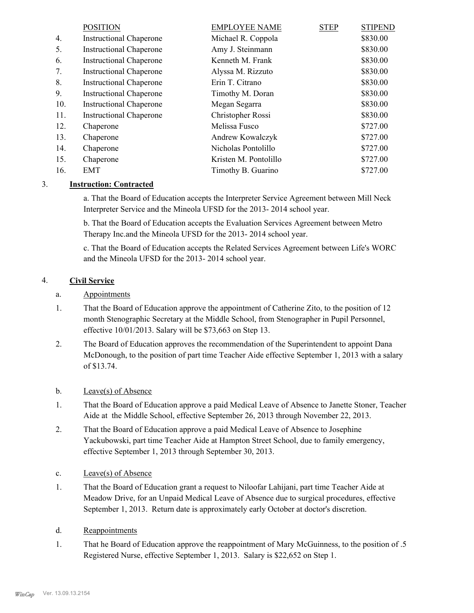|     | <b>POSITION</b>                | <b>EMPLOYEE NAME</b>  | <b>STEP</b> | <b>STIPEND</b> |
|-----|--------------------------------|-----------------------|-------------|----------------|
| 4.  | <b>Instructional Chaperone</b> | Michael R. Coppola    |             | \$830.00       |
| 5.  | <b>Instructional Chaperone</b> | Amy J. Steinmann      |             | \$830.00       |
| 6.  | <b>Instructional Chaperone</b> | Kenneth M. Frank      |             | \$830.00       |
| 7.  | <b>Instructional Chaperone</b> | Alyssa M. Rizzuto     |             | \$830.00       |
| 8.  | <b>Instructional Chaperone</b> | Erin T. Citrano       |             | \$830.00       |
| 9.  | <b>Instructional Chaperone</b> | Timothy M. Doran      |             | \$830.00       |
| 10. | <b>Instructional Chaperone</b> | Megan Segarra         |             | \$830.00       |
| 11. | <b>Instructional Chaperone</b> | Christopher Rossi     |             | \$830.00       |
| 12. | Chaperone                      | Melissa Fusco         |             | \$727.00       |
| 13. | Chaperone                      | Andrew Kowalczyk      |             | \$727.00       |
| 14. | Chaperone                      | Nicholas Pontolillo   |             | \$727.00       |
| 15. | Chaperone                      | Kristen M. Pontolillo |             | \$727.00       |
| 16. | EMT                            | Timothy B. Guarino    |             | \$727.00       |

# 3. **Instruction: Contracted**

a. That the Board of Education accepts the Interpreter Service Agreement between Mill Neck Interpreter Service and the Mineola UFSD for the 2013- 2014 school year.

b. That the Board of Education accepts the Evaluation Services Agreement between Metro Therapy Inc.and the Mineola UFSD for the 2013- 2014 school year.

c. That the Board of Education accepts the Related Services Agreement between Life's WORC and the Mineola UFSD for the 2013- 2014 school year.

# 4. **Civil Service**

# a. Appointments

- That the Board of Education approve the appointment of Catherine Zito, to the position of 12 month Stenographic Secretary at the Middle School, from Stenographer in Pupil Personnel, effective 10/01/2013. Salary will be \$73,663 on Step 13. 1.
- The Board of Education approves the recommendation of the Superintendent to appoint Dana McDonough, to the position of part time Teacher Aide effective September 1, 2013 with a salary of \$13.74. 2.

# b. Leave(s) of Absence

- That the Board of Education approve a paid Medical Leave of Absence to Janette Stoner, Teacher Aide at the Middle School, effective September 26, 2013 through November 22, 2013. 1.
- That the Board of Education approve a paid Medical Leave of Absence to Josephine Yackubowski, part time Teacher Aide at Hampton Street School, due to family emergency, effective September 1, 2013 through September 30, 2013. 2.
- c. Leave(s) of Absence
- That the Board of Education grant a request to Niloofar Lahijani, part time Teacher Aide at Meadow Drive, for an Unpaid Medical Leave of Absence due to surgical procedures, effective September 1, 2013. Return date is approximately early October at doctor's discretion. 1.
- d. Reappointments
- That he Board of Education approve the reappointment of Mary McGuinness, to the position of .5 Registered Nurse, effective September 1, 2013. Salary is \$22,652 on Step 1. 1.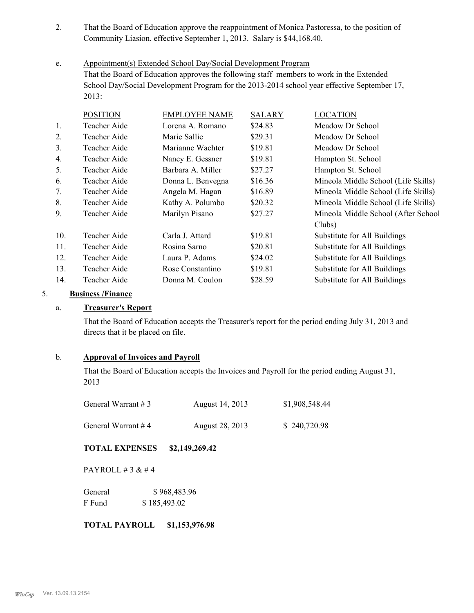- That the Board of Education approve the reappointment of Monica Pastoressa, to the position of Community Liasion, effective September 1, 2013. Salary is \$44,168.40. 2.
- Appointment(s) Extended School Day/Social Development Program That the Board of Education approves the following staff members to work in the Extended School Day/Social Development Program for the 2013-2014 school year effective September 17, 2013: e.

|     | <b>POSITION</b> | <b>EMPLOYEE NAME</b> | <b>SALARY</b> | <b>LOCATION</b>                     |
|-----|-----------------|----------------------|---------------|-------------------------------------|
| 1.  | Teacher Aide    | Lorena A. Romano     | \$24.83       | Meadow Dr School                    |
| 2.  | Teacher Aide    | Marie Sallie         | \$29.31       | Meadow Dr School                    |
| 3.  | Teacher Aide    | Marianne Wachter     | \$19.81       | Meadow Dr School                    |
| 4.  | Teacher Aide    | Nancy E. Gessner     | \$19.81       | Hampton St. School                  |
| 5.  | Teacher Aide    | Barbara A. Miller    | \$27.27       | Hampton St. School                  |
| 6.  | Teacher Aide    | Donna L. Benvegna    | \$16.36       | Mineola Middle School (Life Skills) |
| 7.  | Teacher Aide    | Angela M. Hagan      | \$16.89       | Mineola Middle School (Life Skills) |
| 8.  | Teacher Aide    | Kathy A. Polumbo     | \$20.32       | Mineola Middle School (Life Skills) |
| 9.  | Teacher Aide    | Marilyn Pisano       | \$27.27       | Mineola Middle School (After School |
|     |                 |                      |               | Clubs)                              |
| 10. | Teacher Aide    | Carla J. Attard      | \$19.81       | Substitute for All Buildings        |
| 11. | Teacher Aide    | Rosina Sarno         | \$20.81       | Substitute for All Buildings        |
| 12. | Teacher Aide    | Laura P. Adams       | \$24.02       | Substitute for All Buildings        |
| 13. | Teacher Aide    | Rose Constantino     | \$19.81       | Substitute for All Buildings        |
| 14. | Teacher Aide    | Donna M. Coulon      | \$28.59       | Substitute for All Buildings        |

# 5. **Business /Finance**

## a. **Treasurer's Report**

That the Board of Education accepts the Treasurer's report for the period ending July 31, 2013 and directs that it be placed on file.

# b. **Approval of Invoices and Payroll**

That the Board of Education accepts the Invoices and Payroll for the period ending August 31, 2013

| General Warrant $# 3$ | August 14, 2013 | \$1,908,548.44 |
|-----------------------|-----------------|----------------|
| General Warrant $#4$  | August 28, 2013 | \$240,720.98   |

# **TOTAL EXPENSES \$2,149,269.42**

PAYROLL  $# 3 & 4$ 

| General | \$968,483.96 |  |  |
|---------|--------------|--|--|
| F Fund  | \$185,493.02 |  |  |

# **TOTAL PAYROLL \$1,153,976.98**